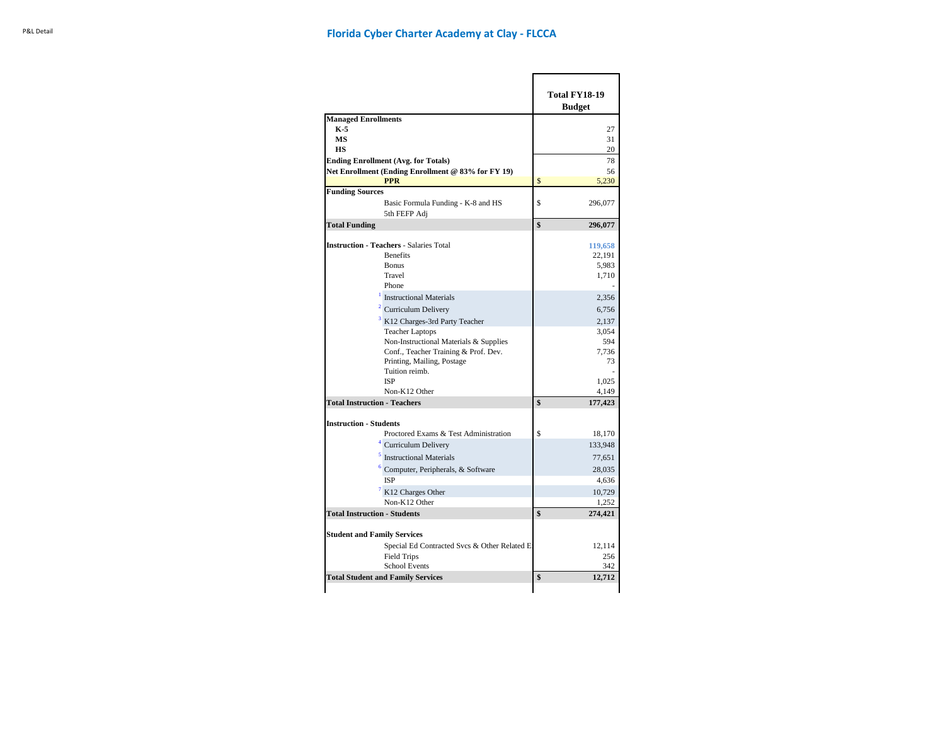|                                                                                                      |              | <b>Total FY18-19</b><br><b>Budget</b> |
|------------------------------------------------------------------------------------------------------|--------------|---------------------------------------|
| <b>Managed Enrollments</b>                                                                           |              |                                       |
| K 5                                                                                                  |              | 27                                    |
| МS                                                                                                   |              | 31                                    |
| HS                                                                                                   |              | 20                                    |
| <b>Ending Enrollment (Avg. for Totals)</b>                                                           |              | 78                                    |
| Net Enrollment (Ending Enrollment @ 83% for FY 19)                                                   |              | 56                                    |
| <b>PPR</b>                                                                                           | $\mathbb{S}$ | 5,230                                 |
| <b>Funding Sources</b><br>Basic Formula Funding - K-8 and HS<br>5th FEFP Adj                         | S            | 296,077                               |
| <b>Total Funding</b>                                                                                 | \$           | 296,077                               |
| <b>Instruction - Teachers - Salaries Total</b><br><b>Benefits</b><br><b>Bonus</b><br>Travel<br>Phone |              | 119,658<br>22,191<br>5,983<br>1,710   |
| <b>Instructional Materials</b>                                                                       |              | 2,356                                 |
| <b>Curriculum Delivery</b>                                                                           |              | 6,756                                 |
| <sup>3</sup> K12 Charges-3rd Party Teacher                                                           |              | 2.137                                 |
| <b>Teacher Laptops</b>                                                                               |              | 3.054                                 |
| Non-Instructional Materials & Supplies                                                               |              | 594                                   |
| Conf., Teacher Training & Prof. Dev.<br>Printing, Mailing, Postage<br>Tuition reimb.                 |              | 7.736<br>73                           |
| <b>ISP</b>                                                                                           |              | 1,025                                 |
| Non-K12 Other                                                                                        |              | 4,149                                 |
| <b>Total Instruction - Teachers</b>                                                                  | \$           | 177,423                               |
| <b>Instruction - Students</b>                                                                        |              |                                       |
| Proctored Exams & Test Administration                                                                | S            | 18,170                                |
| $4$ Curriculum Delivery                                                                              |              | 133,948                               |
| <sup>5</sup> Instructional Materials                                                                 |              | 77,651                                |
| $6$ Computer, Peripherals, & Software                                                                |              | 28,035                                |
| <b>ISP</b>                                                                                           |              | 4,636                                 |
| <sup>7</sup> K12 Charges Other                                                                       |              | 10,729                                |
| Non-K12 Other                                                                                        |              | 1,252                                 |
| <b>Total Instruction - Students</b>                                                                  | \$           | 274,421                               |
| <b>Student and Family Services</b>                                                                   |              |                                       |
| Special Ed Contracted Svcs & Other Related E                                                         |              | 12,114                                |
| <b>Field Trips</b>                                                                                   |              | 256                                   |
| <b>School Events</b>                                                                                 |              | 342                                   |
| <b>Total Student and Family Services</b>                                                             | \$           | 12,712                                |